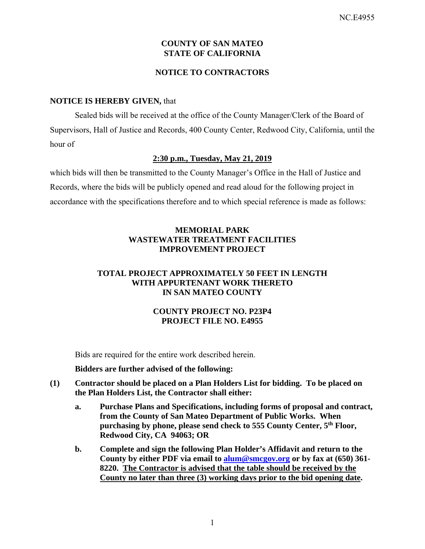# **COUNTY OF SAN MATEO STATE OF CALIFORNIA**

# **NOTICE TO CONTRACTORS**

#### **NOTICE IS HEREBY GIVEN,** that

Sealed bids will be received at the office of the County Manager/Clerk of the Board of Supervisors, Hall of Justice and Records, 400 County Center, Redwood City, California, until the hour of

#### **2:30 p.m., Tuesday, May 21, 2019**

which bids will then be transmitted to the County Manager's Office in the Hall of Justice and Records, where the bids will be publicly opened and read aloud for the following project in accordance with the specifications therefore and to which special reference is made as follows:

# **MEMORIAL PARK WASTEWATER TREATMENT FACILITIES IMPROVEMENT PROJECT**

# **TOTAL PROJECT APPROXIMATELY 50 FEET IN LENGTH WITH APPURTENANT WORK THERETO IN SAN MATEO COUNTY**

# **COUNTY PROJECT NO. P23P4 PROJECT FILE NO. E4955**

Bids are required for the entire work described herein.

#### **Bidders are further advised of the following:**

- **(1) Contractor should be placed on a Plan Holders List for bidding. To be placed on the Plan Holders List, the Contractor shall either:** 
	- **a. Purchase Plans and Specifications, including forms of proposal and contract, from the County of San Mateo Department of Public Works. When purchasing by phone, please send check to 555 County Center, 5th Floor, Redwood City, CA 94063; OR**
	- **b. Complete and sign the following Plan Holder's Affidavit and return to the County by either PDF via email to alum@smcgov.org or by fax at (650) 361- 8220. The Contractor is advised that the table should be received by the County no later than three (3) working days prior to the bid opening date.**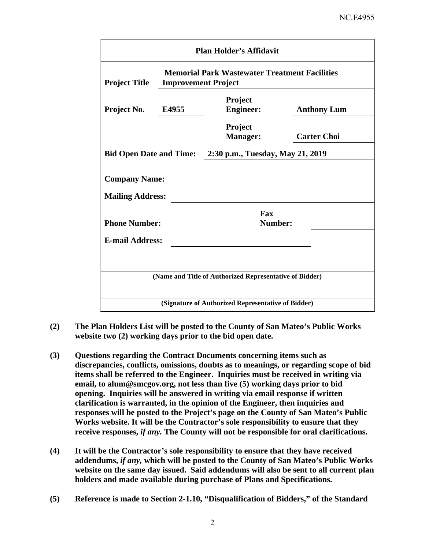| <b>Plan Holder's Affidavit</b>                  |                                                                                    |                                                         |                    |  |  |  |
|-------------------------------------------------|------------------------------------------------------------------------------------|---------------------------------------------------------|--------------------|--|--|--|
| <b>Project Title</b>                            | <b>Memorial Park Wastewater Treatment Facilities</b><br><b>Improvement Project</b> |                                                         |                    |  |  |  |
| Project No.<br>E4955                            |                                                                                    | Project<br><b>Engineer:</b>                             | <b>Anthony Lum</b> |  |  |  |
|                                                 |                                                                                    | Project<br><b>Manager:</b>                              | <b>Carter Choi</b> |  |  |  |
|                                                 | <b>Bid Open Date and Time:</b><br>2:30 p.m., Tuesday, May 21, 2019                 |                                                         |                    |  |  |  |
| <b>Company Name:</b><br><b>Mailing Address:</b> |                                                                                    |                                                         |                    |  |  |  |
| <b>Phone Number:</b>                            | Fax<br>Number:                                                                     |                                                         |                    |  |  |  |
| <b>E-mail Address:</b>                          |                                                                                    |                                                         |                    |  |  |  |
|                                                 |                                                                                    |                                                         |                    |  |  |  |
|                                                 |                                                                                    | (Name and Title of Authorized Representative of Bidder) |                    |  |  |  |
|                                                 |                                                                                    | (Signature of Authorized Representative of Bidder)      |                    |  |  |  |

- **(2) The Plan Holders List will be posted to the County of San Mateo's Public Works website two (2) working days prior to the bid open date.**
- **(3) Questions regarding the Contract Documents concerning items such as discrepancies, conflicts, omissions, doubts as to meanings, or regarding scope of bid items shall be referred to the Engineer. Inquiries must be received in writing via email, to alum@smcgov.org, not less than five (5) working days prior to bid opening. Inquiries will be answered in writing via email response if written clarification is warranted, in the opinion of the Engineer, then inquiries and responses will be posted to the Project's page on the County of San Mateo's Public Works website. It will be the Contractor's sole responsibility to ensure that they receive responses,** *if any.* **The County will not be responsible for oral clarifications.**
- **(4) It will be the Contractor's sole responsibility to ensure that they have received addendums,** *if any,* **which will be posted to the County of San Mateo's Public Works website on the same day issued. Said addendums will also be sent to all current plan holders and made available during purchase of Plans and Specifications.**
- **(5) Reference is made to Section 2-1.10, "Disqualification of Bidders," of the Standard**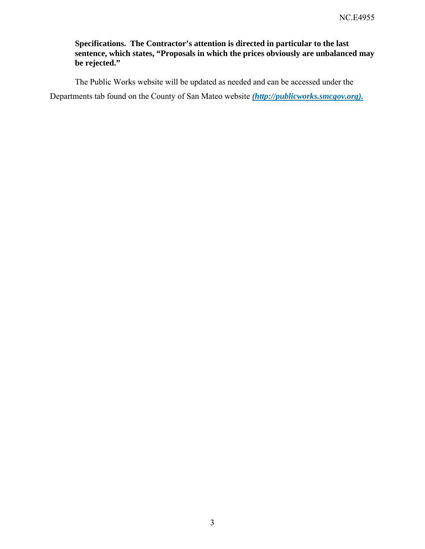# **Specifications. The Contractor's attention is directed in particular to the last sentence, which states, "Proposals in which the prices obviously are unbalanced may be rejected."**

The Public Works website will be updated as needed and can be accessed under the Departments tab found on the County of San Mateo website *(http://publicworks.smcgov.org).*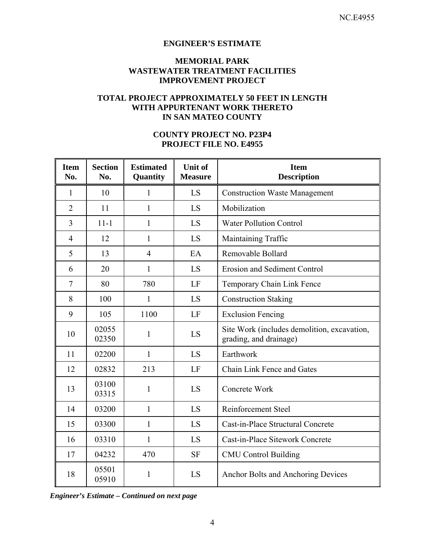### **ENGINEER'S ESTIMATE**

#### **MEMORIAL PARK WASTEWATER TREATMENT FACILITIES IMPROVEMENT PROJECT**

#### **TOTAL PROJECT APPROXIMATELY 50 FEET IN LENGTH WITH APPURTENANT WORK THERETO IN SAN MATEO COUNTY**

# **COUNTY PROJECT NO. P23P4 PROJECT FILE NO. E4955**

| <b>Item</b><br>No. | <b>Section</b><br>No. | <b>Estimated</b><br>Quantity | Unit of<br><b>Measure</b> | <b>Item</b><br><b>Description</b>                                     |
|--------------------|-----------------------|------------------------------|---------------------------|-----------------------------------------------------------------------|
| 1                  | 10                    | $\mathbf{1}$                 | LS                        | <b>Construction Waste Management</b>                                  |
| $\overline{2}$     | 11                    | 1                            | LS                        | Mobilization                                                          |
| $\overline{3}$     | $11 - 1$              | 1                            | LS                        | <b>Water Pollution Control</b>                                        |
| $\overline{4}$     | 12                    | $\mathbf{1}$                 | LS                        | Maintaining Traffic                                                   |
| 5                  | 13                    | $\overline{4}$               | EA                        | Removable Bollard                                                     |
| 6                  | 20                    | $\mathbf{1}$                 | LS                        | <b>Erosion and Sediment Control</b>                                   |
| $\tau$             | 80                    | 780                          | LF                        | Temporary Chain Link Fence                                            |
| 8                  | 100                   | 1                            | LS                        | <b>Construction Staking</b>                                           |
| 9                  | 105                   | 1100                         | LF                        | <b>Exclusion Fencing</b>                                              |
| 10                 | 02055<br>02350        | $\mathbf{1}$                 | LS                        | Site Work (includes demolition, excavation,<br>grading, and drainage) |
| 11                 | 02200                 | $\mathbf{1}$                 | LS                        | Earthwork                                                             |
| 12                 | 02832                 | 213                          | LF                        | Chain Link Fence and Gates                                            |
| 13                 | 03100<br>03315        | 1                            | LS                        | Concrete Work                                                         |
| 14                 | 03200                 | $\mathbf{1}$                 | LS                        | Reinforcement Steel                                                   |
| 15                 | 03300                 | 1                            | LS                        | Cast-in-Place Structural Concrete                                     |
| 16                 | 03310                 | 1                            | LS                        | Cast-in-Place Sitework Concrete                                       |
| 17                 | 04232                 | 470                          | <b>SF</b>                 | <b>CMU Control Building</b>                                           |
| 18                 | 05501<br>05910        | 1                            | LS                        | Anchor Bolts and Anchoring Devices                                    |

*Engineer's Estimate – Continued on next page*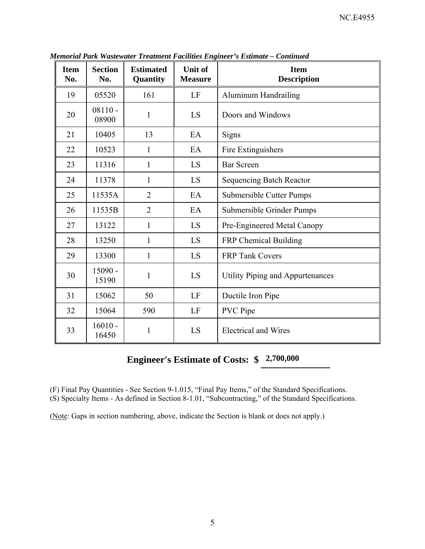| <b>Item</b><br>No. | <b>Section</b><br>No. | <b>Estimated</b><br>Quantity | <b>Unit of</b><br><b>Measure</b> | <b>Item</b><br><b>Description</b> |
|--------------------|-----------------------|------------------------------|----------------------------------|-----------------------------------|
| 19                 | 05520                 | 161                          | LF                               | <b>Aluminum Handrailing</b>       |
| 20                 | $08110 -$<br>08900    | $\mathbf{1}$                 | LS                               | Doors and Windows                 |
| 21                 | 10405                 | 13                           | EA                               | Signs                             |
| 22                 | 10523                 | $\mathbf{1}$                 | EA                               | Fire Extinguishers                |
| 23                 | 11316                 | $\mathbf{1}$                 | LS                               | <b>Bar Screen</b>                 |
| 24                 | 11378                 | 1                            | LS                               | <b>Sequencing Batch Reactor</b>   |
| 25                 | 11535A                | $\overline{2}$               | EA                               | <b>Submersible Cutter Pumps</b>   |
| 26                 | 11535B                | $\overline{2}$               | EA                               | Submersible Grinder Pumps         |
| 27                 | 13122                 | 1                            | LS                               | Pre-Engineered Metal Canopy       |
| 28                 | 13250                 | $\mathbf{1}$                 | LS                               | FRP Chemical Building             |
| 29                 | 13300                 | $\mathbf{1}$                 | LS                               | <b>FRP Tank Covers</b>            |
| 30                 | 15090 -<br>15190      | 1                            | LS                               | Utility Piping and Appurtenances  |
| 31                 | 15062                 | 50                           | LF                               | Ductile Iron Pipe                 |
| 32                 | 15064                 | 590                          | LF                               | <b>PVC</b> Pipe                   |
| 33                 | $16010 -$<br>16450    | 1                            | LS                               | <b>Electrical and Wires</b>       |

*Memorial Park Wastewater Treatment Facilities Engineer's Estimate – Continued* 

# **Engineer's Estimate of Costs: \$ 2,700,000**

(F) Final Pay Quantities - See Section 9-1.015, "Final Pay Items," of the Standard Specifications.

(S) Specialty Items - As defined in Section 8-1.01, "Subcontracting," of the Standard Specifications.

(Note: Gaps in section numbering, above, indicate the Section is blank or does not apply.)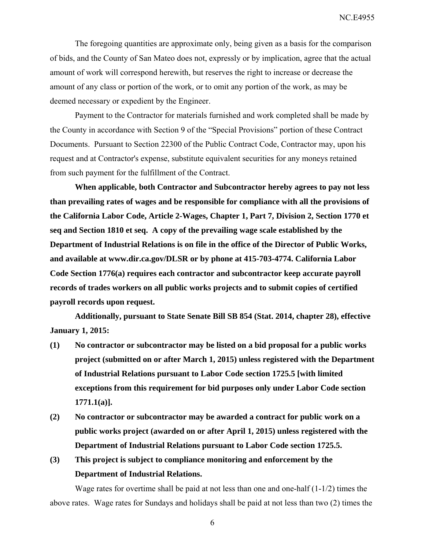The foregoing quantities are approximate only, being given as a basis for the comparison of bids, and the County of San Mateo does not, expressly or by implication, agree that the actual amount of work will correspond herewith, but reserves the right to increase or decrease the amount of any class or portion of the work, or to omit any portion of the work, as may be deemed necessary or expedient by the Engineer.

Payment to the Contractor for materials furnished and work completed shall be made by the County in accordance with Section 9 of the "Special Provisions" portion of these Contract Documents. Pursuant to Section 22300 of the Public Contract Code, Contractor may, upon his request and at Contractor's expense, substitute equivalent securities for any moneys retained from such payment for the fulfillment of the Contract.

**When applicable, both Contractor and Subcontractor hereby agrees to pay not less than prevailing rates of wages and be responsible for compliance with all the provisions of the California Labor Code, Article 2-Wages, Chapter 1, Part 7, Division 2, Section 1770 et seq and Section 1810 et seq. A copy of the prevailing wage scale established by the Department of Industrial Relations is on file in the office of the Director of Public Works, and available at www.dir.ca.gov/DLSR or by phone at 415-703-4774. California Labor Code Section 1776(a) requires each contractor and subcontractor keep accurate payroll records of trades workers on all public works projects and to submit copies of certified payroll records upon request.** 

**Additionally, pursuant to State Senate Bill SB 854 (Stat. 2014, chapter 28), effective January 1, 2015:** 

- **(1) No contractor or subcontractor may be listed on a bid proposal for a public works project (submitted on or after March 1, 2015) unless registered with the Department of Industrial Relations pursuant to Labor Code section 1725.5 [with limited exceptions from this requirement for bid purposes only under Labor Code section 1771.1(a)].**
- **(2) No contractor or subcontractor may be awarded a contract for public work on a public works project (awarded on or after April 1, 2015) unless registered with the Department of Industrial Relations pursuant to Labor Code section 1725.5.**
- **(3) This project is subject to compliance monitoring and enforcement by the Department of Industrial Relations.**

Wage rates for overtime shall be paid at not less than one and one-half (1-1/2) times the above rates. Wage rates for Sundays and holidays shall be paid at not less than two (2) times the

6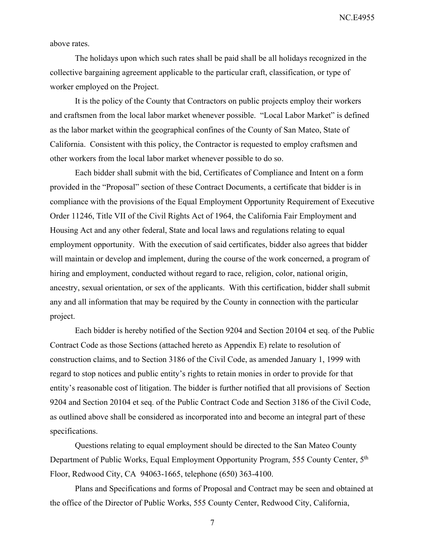above rates.

The holidays upon which such rates shall be paid shall be all holidays recognized in the collective bargaining agreement applicable to the particular craft, classification, or type of worker employed on the Project.

It is the policy of the County that Contractors on public projects employ their workers and craftsmen from the local labor market whenever possible. "Local Labor Market" is defined as the labor market within the geographical confines of the County of San Mateo, State of California. Consistent with this policy, the Contractor is requested to employ craftsmen and other workers from the local labor market whenever possible to do so.

Each bidder shall submit with the bid, Certificates of Compliance and Intent on a form provided in the "Proposal" section of these Contract Documents, a certificate that bidder is in compliance with the provisions of the Equal Employment Opportunity Requirement of Executive Order 11246, Title VII of the Civil Rights Act of 1964, the California Fair Employment and Housing Act and any other federal, State and local laws and regulations relating to equal employment opportunity. With the execution of said certificates, bidder also agrees that bidder will maintain or develop and implement, during the course of the work concerned, a program of hiring and employment, conducted without regard to race, religion, color, national origin, ancestry, sexual orientation, or sex of the applicants. With this certification, bidder shall submit any and all information that may be required by the County in connection with the particular project.

Each bidder is hereby notified of the Section 9204 and Section 20104 et seq. of the Public Contract Code as those Sections (attached hereto as Appendix E) relate to resolution of construction claims, and to Section 3186 of the Civil Code, as amended January 1, 1999 with regard to stop notices and public entity's rights to retain monies in order to provide for that entity's reasonable cost of litigation. The bidder is further notified that all provisions of Section 9204 and Section 20104 et seq. of the Public Contract Code and Section 3186 of the Civil Code, as outlined above shall be considered as incorporated into and become an integral part of these specifications.

Questions relating to equal employment should be directed to the San Mateo County Department of Public Works, Equal Employment Opportunity Program, 555 County Center, 5th Floor, Redwood City, CA 94063-1665, telephone (650) 363-4100.

Plans and Specifications and forms of Proposal and Contract may be seen and obtained at the office of the Director of Public Works, 555 County Center, Redwood City, California,

7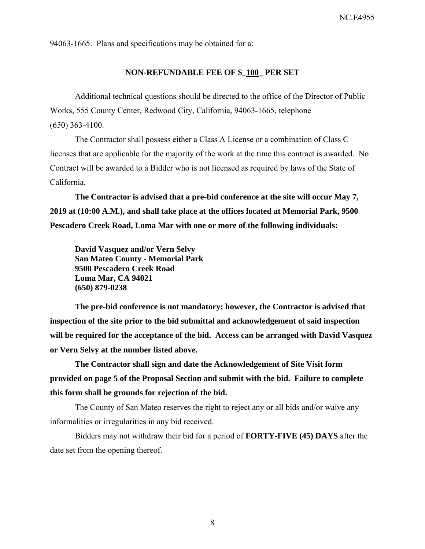94063-1665. Plans and specifications may be obtained for a:

#### **NON-REFUNDABLE FEE OF \$\_100\_ PER SET**

Additional technical questions should be directed to the office of the Director of Public Works, 555 County Center, Redwood City, California, 94063-1665, telephone (650) 363-4100.

The Contractor shall possess either a Class A License or a combination of Class C licenses that are applicable for the majority of the work at the time this contract is awarded. No Contract will be awarded to a Bidder who is not licensed as required by laws of the State of California.

**The Contractor is advised that a pre-bid conference at the site will occur May 7, 2019 at (10:00 A.M.), and shall take place at the offices located at Memorial Park, 9500 Pescadero Creek Road, Loma Mar with one or more of the following individuals:** 

**David Vasquez and/or Vern Selvy San Mateo County - Memorial Park 9500 Pescadero Creek Road Loma Mar, CA 94021 (650) 879-0238** 

**The pre-bid conference is not mandatory; however, the Contractor is advised that inspection of the site prior to the bid submittal and acknowledgement of said inspection will be required for the acceptance of the bid. Access can be arranged with David Vasquez or Vern Selvy at the number listed above.** 

**The Contractor shall sign and date the Acknowledgement of Site Visit form provided on page 5 of the Proposal Section and submit with the bid. Failure to complete this form shall be grounds for rejection of the bid.** 

The County of San Mateo reserves the right to reject any or all bids and/or waive any informalities or irregularities in any bid received.

Bidders may not withdraw their bid for a period of **FORTY-FIVE (45) DAYS** after the date set from the opening thereof.

8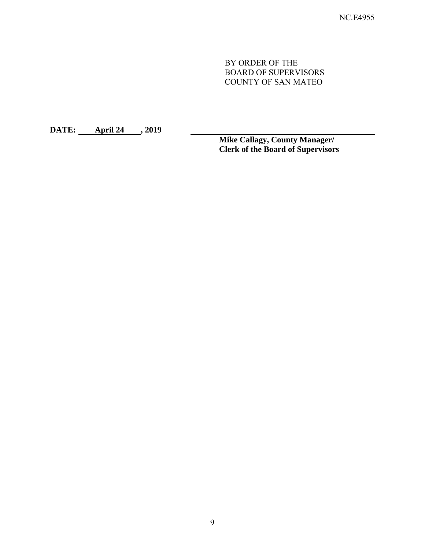BY ORDER OF THE BOARD OF SUPERVISORS COUNTY OF SAN MATEO

**DATE: April 24 , 2019** 

**Mike Callagy, County Manager/ Clerk of the Board of Supervisors**